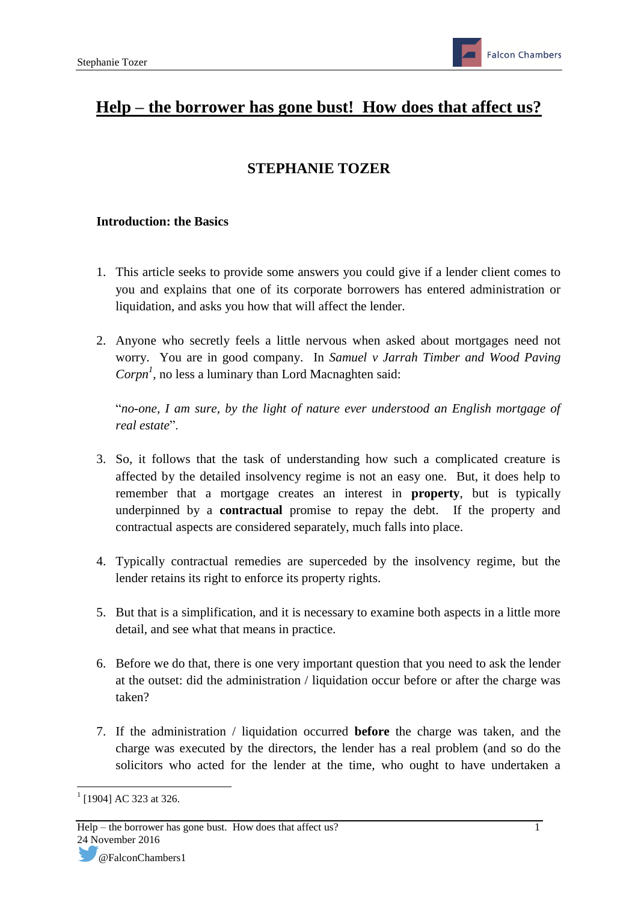# **Help – the borrower has gone bust! How does that affect us?**

## **STEPHANIE TOZER**

#### **Introduction: the Basics**

- 1. This article seeks to provide some answers you could give if a lender client comes to you and explains that one of its corporate borrowers has entered administration or liquidation, and asks you how that will affect the lender.
- 2. Anyone who secretly feels a little nervous when asked about mortgages need not worry. You are in good company. In *Samuel v Jarrah Timber and Wood Paving*   $Corpn<sup>1</sup>$ , no less a luminary than Lord Macnaghten said:

"*no-one, I am sure, by the light of nature ever understood an English mortgage of real estate*".

- 3. So, it follows that the task of understanding how such a complicated creature is affected by the detailed insolvency regime is not an easy one. But, it does help to remember that a mortgage creates an interest in **property**, but is typically underpinned by a **contractual** promise to repay the debt. If the property and contractual aspects are considered separately, much falls into place.
- 4. Typically contractual remedies are superceded by the insolvency regime, but the lender retains its right to enforce its property rights.
- 5. But that is a simplification, and it is necessary to examine both aspects in a little more detail, and see what that means in practice.
- 6. Before we do that, there is one very important question that you need to ask the lender at the outset: did the administration / liquidation occur before or after the charge was taken?
- 7. If the administration / liquidation occurred **before** the charge was taken, and the charge was executed by the directors, the lender has a real problem (and so do the solicitors who acted for the lender at the time, who ought to have undertaken a

**<sup>.</sup>**  $1$  [1904] AC 323 at 326.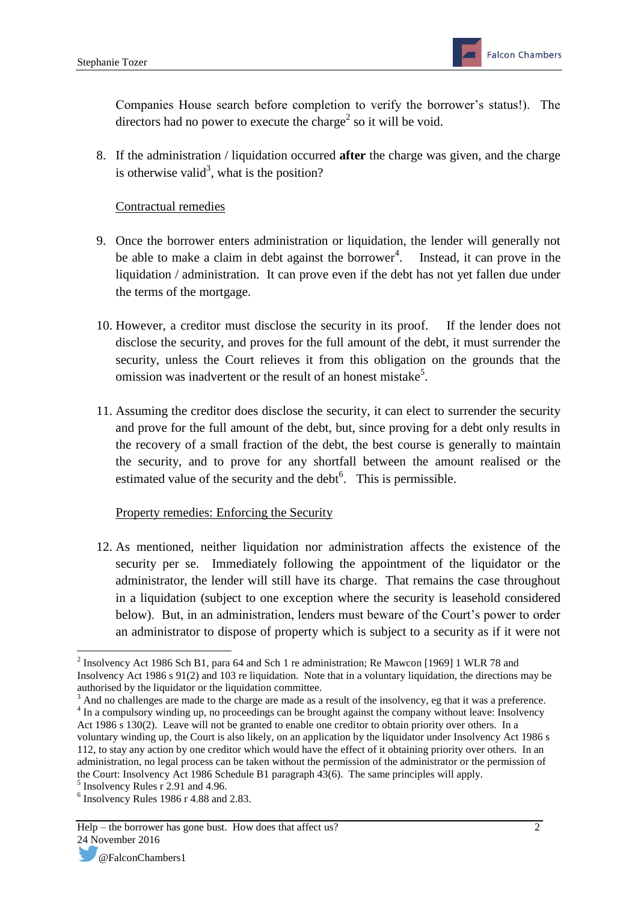Companies House search before completion to verify the borrower's status!). The directors had no power to execute the charge<sup>2</sup> so it will be void.

8. If the administration / liquidation occurred **after** the charge was given, and the charge is otherwise valid<sup>3</sup>, what is the position?

#### Contractual remedies

- 9. Once the borrower enters administration or liquidation, the lender will generally not be able to make a claim in debt against the borrower<sup>4</sup>. Instead, it can prove in the liquidation / administration. It can prove even if the debt has not yet fallen due under the terms of the mortgage.
- 10. However, a creditor must disclose the security in its proof. If the lender does not disclose the security, and proves for the full amount of the debt, it must surrender the security, unless the Court relieves it from this obligation on the grounds that the omission was inadvertent or the result of an honest mistake<sup>5</sup>.
- 11. Assuming the creditor does disclose the security, it can elect to surrender the security and prove for the full amount of the debt, but, since proving for a debt only results in the recovery of a small fraction of the debt, the best course is generally to maintain the security, and to prove for any shortfall between the amount realised or the estimated value of the security and the debt $<sup>6</sup>$ . This is permissible.</sup>

### Property remedies: Enforcing the Security

12. As mentioned, neither liquidation nor administration affects the existence of the security per se. Immediately following the appointment of the liquidator or the administrator, the lender will still have its charge. That remains the case throughout in a liquidation (subject to one exception where the security is leasehold considered below). But, in an administration, lenders must beware of the Court's power to order an administrator to dispose of property which is subject to a security as if it were not

 $3$  And no challenges are made to the charge are made as a result of the insolvency, eg that it was a preference. <sup>4</sup> In a compulsory winding up, no proceedings can be brought against the company without leave: Insolvency Act 1986 s 130(2). Leave will not be granted to enable one creditor to obtain priority over others. In a

<sup>&</sup>lt;sup>2</sup> Insolvency Act 1986 Sch B1, para 64 and Sch 1 re administration; Re Mawcon [1969] 1 WLR 78 and Insolvency Act 1986 s 91(2) and 103 re liquidation. Note that in a voluntary liquidation, the directions may be authorised by the liquidator or the liquidation committee.

voluntary winding up, the Court is also likely, on an application by the liquidator under Insolvency Act 1986 s 112, to stay any action by one creditor which would have the effect of it obtaining priority over others. In an administration, no legal process can be taken without the permission of the administrator or the permission of the Court: Insolvency Act 1986 Schedule B1 paragraph 43(6). The same principles will apply.

<sup>5</sup> Insolvency Rules r 2.91 and 4.96.

<sup>6</sup> Insolvency Rules 1986 r 4.88 and 2.83.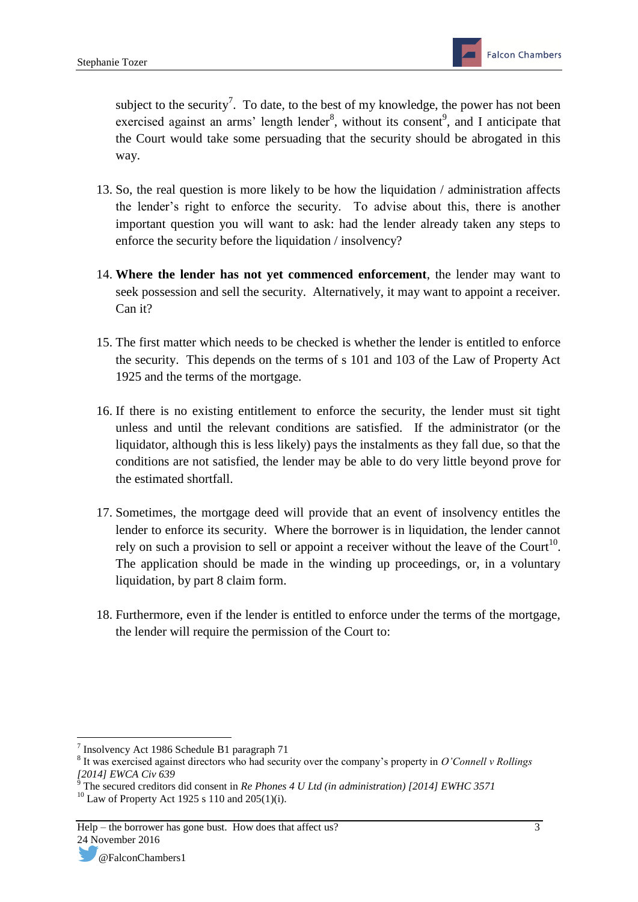subject to the security<sup>7</sup>. To date, to the best of my knowledge, the power has not been exercised against an arms' length lender<sup>8</sup>, without its consent<sup>9</sup>, and I anticipate that the Court would take some persuading that the security should be abrogated in this way.

- 13. So, the real question is more likely to be how the liquidation / administration affects the lender's right to enforce the security. To advise about this, there is another important question you will want to ask: had the lender already taken any steps to enforce the security before the liquidation / insolvency?
- 14. **Where the lender has not yet commenced enforcement**, the lender may want to seek possession and sell the security. Alternatively, it may want to appoint a receiver. Can it?
- 15. The first matter which needs to be checked is whether the lender is entitled to enforce the security. This depends on the terms of s 101 and 103 of the Law of Property Act 1925 and the terms of the mortgage.
- 16. If there is no existing entitlement to enforce the security, the lender must sit tight unless and until the relevant conditions are satisfied. If the administrator (or the liquidator, although this is less likely) pays the instalments as they fall due, so that the conditions are not satisfied, the lender may be able to do very little beyond prove for the estimated shortfall.
- 17. Sometimes, the mortgage deed will provide that an event of insolvency entitles the lender to enforce its security. Where the borrower is in liquidation, the lender cannot rely on such a provision to sell or appoint a receiver without the leave of the Court<sup>10</sup>. The application should be made in the winding up proceedings, or, in a voluntary liquidation, by part 8 claim form.
- 18. Furthermore, even if the lender is entitled to enforce under the terms of the mortgage, the lender will require the permission of the Court to:

 7 Insolvency Act 1986 Schedule B1 paragraph 71

<sup>8</sup> It was exercised against directors who had security over the company's property in *O'Connell v Rollings [2014] EWCA Civ 639*

<sup>9</sup> The secured creditors did consent in *Re Phones 4 U Ltd (in administration) [2014] EWHC 3571*  $10$  Law of Property Act 1925 s 110 and 205(1)(i).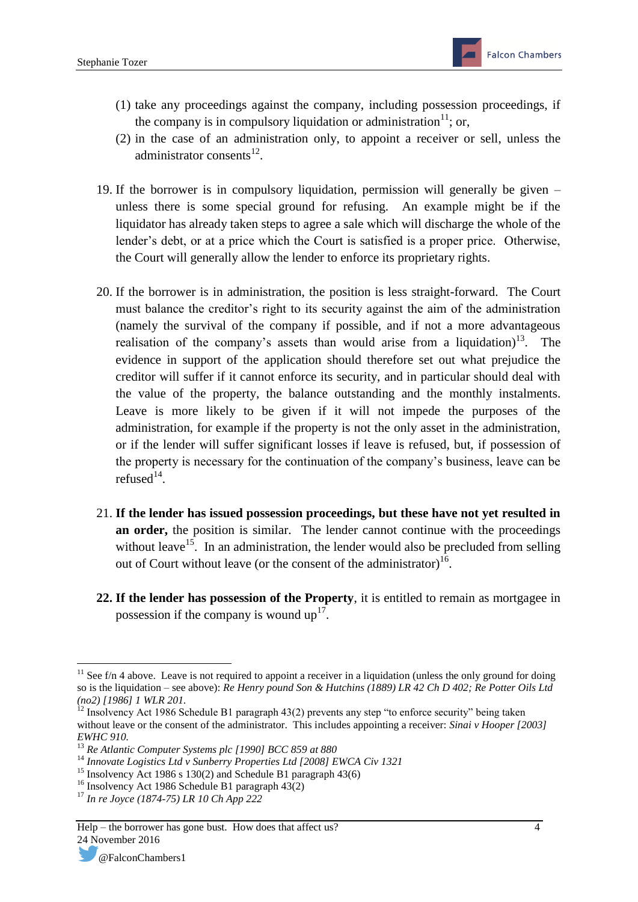- (1) take any proceedings against the company, including possession proceedings, if the company is in compulsory liquidation or administration<sup>11</sup>; or,
- (2) in the case of an administration only, to appoint a receiver or sell, unless the administrator consents $^{12}$ .
- 19. If the borrower is in compulsory liquidation, permission will generally be given unless there is some special ground for refusing. An example might be if the liquidator has already taken steps to agree a sale which will discharge the whole of the lender's debt, or at a price which the Court is satisfied is a proper price. Otherwise, the Court will generally allow the lender to enforce its proprietary rights.
- 20. If the borrower is in administration, the position is less straight-forward. The Court must balance the creditor's right to its security against the aim of the administration (namely the survival of the company if possible, and if not a more advantageous realisation of the company's assets than would arise from a liquidation)<sup>13</sup>. The evidence in support of the application should therefore set out what prejudice the creditor will suffer if it cannot enforce its security, and in particular should deal with the value of the property, the balance outstanding and the monthly instalments. Leave is more likely to be given if it will not impede the purposes of the administration, for example if the property is not the only asset in the administration, or if the lender will suffer significant losses if leave is refused, but, if possession of the property is necessary for the continuation of the company's business, leave can be refused $14$ .
- 21. **If the lender has issued possession proceedings, but these have not yet resulted in an order,** the position is similar. The lender cannot continue with the proceedings without leave<sup>15</sup>. In an administration, the lender would also be precluded from selling out of Court without leave (or the consent of the administrator)<sup>16</sup>.
- **22. If the lender has possession of the Property**, it is entitled to remain as mortgagee in possession if the company is wound  $up<sup>17</sup>$ .

<sup>15</sup> Insolvency Act 1986 s 130(2) and Schedule B1 paragraph  $43(6)$ 

**.** 

 $11$  See f/n 4 above. Leave is not required to appoint a receiver in a liquidation (unless the only ground for doing so is the liquidation – see above): *Re Henry pound Son & Hutchins (1889) LR 42 Ch D 402; Re Potter Oils Ltd (no2) [1986] 1 WLR 201.* 

 $12$  Insolvency Act 1986 Schedule B1 paragraph 43(2) prevents any step "to enforce security" being taken without leave or the consent of the administrator. This includes appointing a receiver: *Sinai v Hooper* [2003] *EWHC 910.*

<sup>13</sup> *Re Atlantic Computer Systems plc [1990] BCC 859 at 880*

<sup>14</sup> *Innovate Logistics Ltd v Sunberry Properties Ltd [2008] EWCA Civ 1321*

<sup>&</sup>lt;sup>16</sup> Insolvency Act 1986 Schedule B1 paragraph  $43(2)$ 

<sup>17</sup> *In re Joyce (1874-75) LR 10 Ch App 222*

Help – the borrower has gone bust. How does that affect us? 4 24 November 2016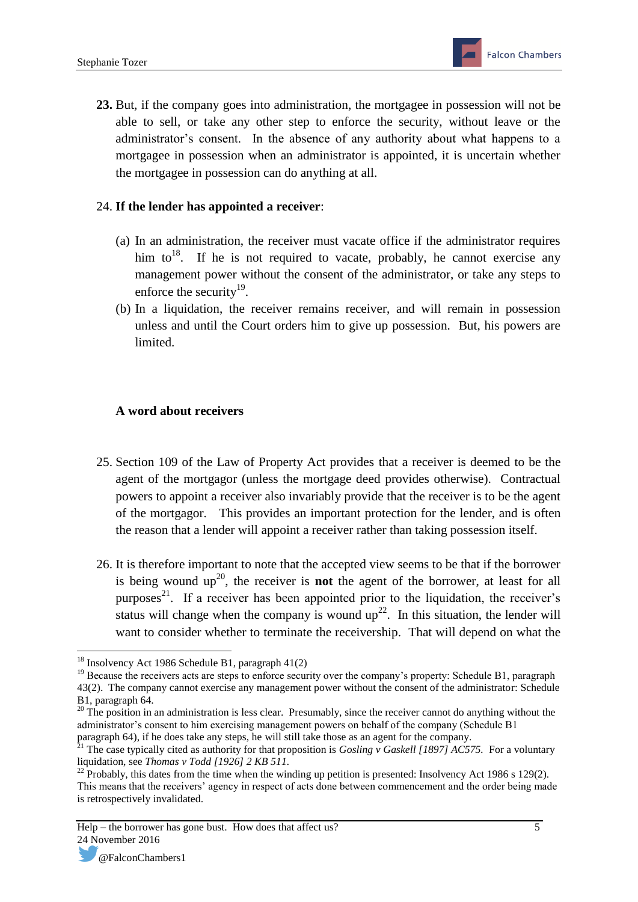**23.** But, if the company goes into administration, the mortgagee in possession will not be able to sell, or take any other step to enforce the security, without leave or the administrator's consent. In the absence of any authority about what happens to a mortgagee in possession when an administrator is appointed, it is uncertain whether the mortgagee in possession can do anything at all.

#### 24. **If the lender has appointed a receiver**:

- (a) In an administration, the receiver must vacate office if the administrator requires him to<sup>18</sup>. If he is not required to vacate, probably, he cannot exercise any management power without the consent of the administrator, or take any steps to enforce the security<sup>19</sup>.
- (b) In a liquidation, the receiver remains receiver, and will remain in possession unless and until the Court orders him to give up possession. But, his powers are limited.

#### **A word about receivers**

- 25. Section 109 of the Law of Property Act provides that a receiver is deemed to be the agent of the mortgagor (unless the mortgage deed provides otherwise). Contractual powers to appoint a receiver also invariably provide that the receiver is to be the agent of the mortgagor. This provides an important protection for the lender, and is often the reason that a lender will appoint a receiver rather than taking possession itself.
- 26. It is therefore important to note that the accepted view seems to be that if the borrower is being wound  $up^{20}$ , the receiver is **not** the agent of the borrower, at least for all purposes<sup>21</sup>. If a receiver has been appointed prior to the liquidation, the receiver's status will change when the company is wound  $up^{22}$ . In this situation, the lender will want to consider whether to terminate the receivership. That will depend on what the

<sup>1</sup> <sup>18</sup> Insolvency Act 1986 Schedule B1, paragraph 41(2)

<sup>&</sup>lt;sup>19</sup> Because the receivers acts are steps to enforce security over the company's property: Schedule B1, paragraph 43(2). The company cannot exercise any management power without the consent of the administrator: Schedule B1, paragraph 64.

<sup>&</sup>lt;sup>20</sup> The position in an administration is less clear. Presumably, since the receiver cannot do anything without the administrator's consent to him exercising management powers on behalf of the company (Schedule B1 paragraph 64), if he does take any steps, he will still take those as an agent for the company.

<sup>21</sup> The case typically cited as authority for that proposition is *Gosling v Gaskell [1897] AC575.* For a voluntary liquidation, see *Thomas v Todd [1926] 2 KB 511.* 

 $^{22}$  Probably, this dates from the time when the winding up petition is presented: Insolvency Act 1986 s 129(2). This means that the receivers' agency in respect of acts done between commencement and the order being made is retrospectively invalidated.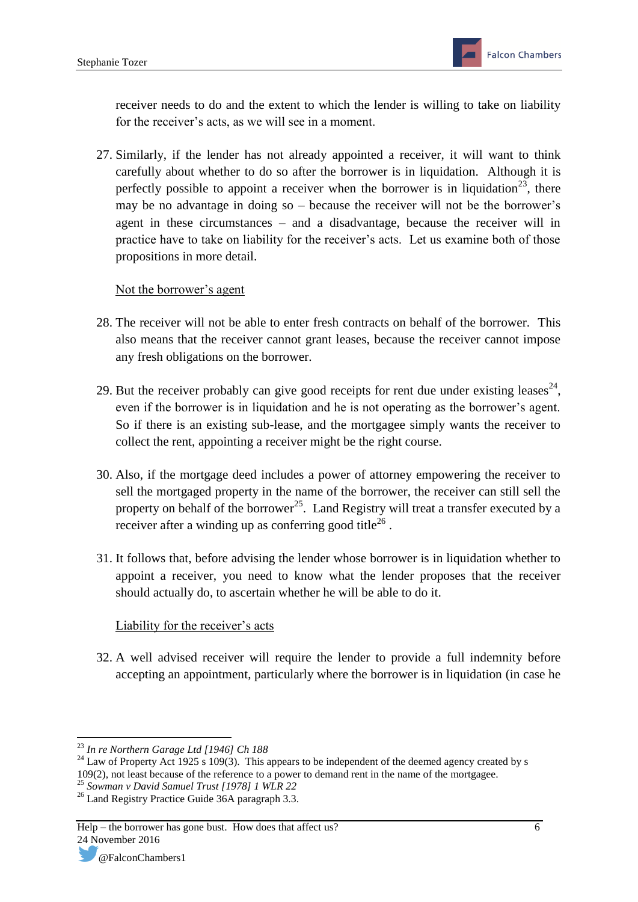receiver needs to do and the extent to which the lender is willing to take on liability for the receiver's acts, as we will see in a moment.

27. Similarly, if the lender has not already appointed a receiver, it will want to think carefully about whether to do so after the borrower is in liquidation. Although it is perfectly possible to appoint a receiver when the borrower is in liquidation<sup>23</sup>, there may be no advantage in doing so – because the receiver will not be the borrower's agent in these circumstances – and a disadvantage, because the receiver will in practice have to take on liability for the receiver's acts. Let us examine both of those propositions in more detail.

#### Not the borrower's agent

- 28. The receiver will not be able to enter fresh contracts on behalf of the borrower. This also means that the receiver cannot grant leases, because the receiver cannot impose any fresh obligations on the borrower.
- 29. But the receiver probably can give good receipts for rent due under existing leases<sup>24</sup>, even if the borrower is in liquidation and he is not operating as the borrower's agent. So if there is an existing sub-lease, and the mortgagee simply wants the receiver to collect the rent, appointing a receiver might be the right course.
- 30. Also, if the mortgage deed includes a power of attorney empowering the receiver to sell the mortgaged property in the name of the borrower, the receiver can still sell the property on behalf of the borrower<sup>25</sup>. Land Registry will treat a transfer executed by a receiver after a winding up as conferring good title<sup>26</sup>.
- 31. It follows that, before advising the lender whose borrower is in liquidation whether to appoint a receiver, you need to know what the lender proposes that the receiver should actually do, to ascertain whether he will be able to do it.

### Liability for the receiver's acts

32. A well advised receiver will require the lender to provide a full indemnity before accepting an appointment, particularly where the borrower is in liquidation (in case he

**<sup>.</sup>** <sup>23</sup> *In re Northern Garage Ltd [1946] Ch 188*

 $^{24}$  Law of Property Act 1925 s 109(3). This appears to be independent of the deemed agency created by s 109(2), not least because of the reference to a power to demand rent in the name of the mortgagee.

<sup>25</sup> *Sowman v David Samuel Trust [1978] 1 WLR 22*

<sup>&</sup>lt;sup>26</sup> Land Registry Practice Guide 36A paragraph 3.3.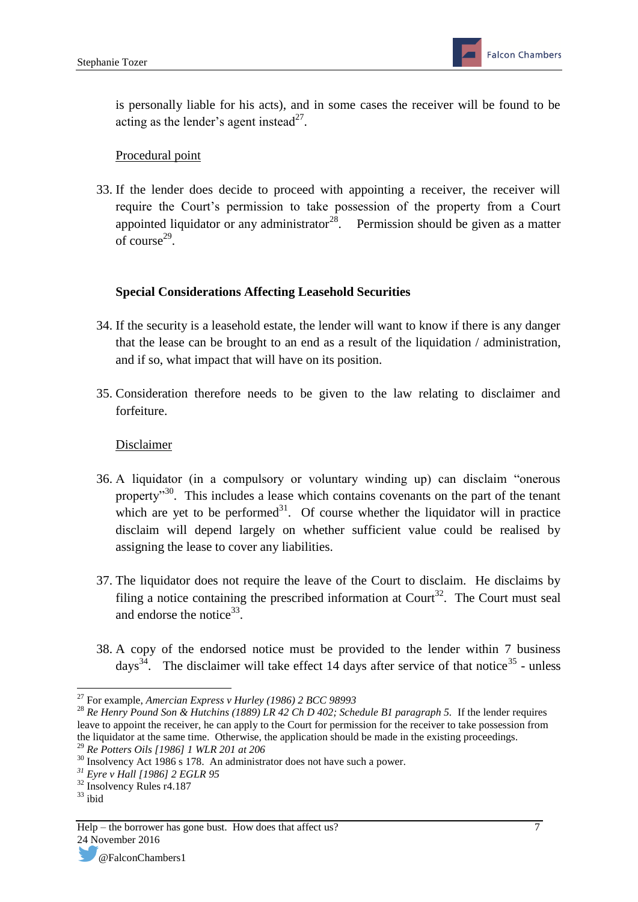is personally liable for his acts), and in some cases the receiver will be found to be acting as the lender's agent instead<sup>27</sup>.

#### Procedural point

33. If the lender does decide to proceed with appointing a receiver, the receiver will require the Court's permission to take possession of the property from a Court appointed liquidator or any administrator<sup>28</sup>. Permission should be given as a matter of course $^{29}$ .

#### **Special Considerations Affecting Leasehold Securities**

- 34. If the security is a leasehold estate, the lender will want to know if there is any danger that the lease can be brought to an end as a result of the liquidation / administration, and if so, what impact that will have on its position.
- 35. Consideration therefore needs to be given to the law relating to disclaimer and forfeiture.

#### Disclaimer

- 36. A liquidator (in a compulsory or voluntary winding up) can disclaim "onerous property<sup>30</sup>. This includes a lease which contains covenants on the part of the tenant which are yet to be performed $31$ . Of course whether the liquidator will in practice disclaim will depend largely on whether sufficient value could be realised by assigning the lease to cover any liabilities.
- 37. The liquidator does not require the leave of the Court to disclaim. He disclaims by filing a notice containing the prescribed information at Court<sup>32</sup>. The Court must seal and endorse the notice<sup>33</sup>.
- 38. A copy of the endorsed notice must be provided to the lender within 7 business days<sup>34</sup>. The disclaimer will take effect 14 days after service of that notice<sup>35</sup> - unless

 $\overline{a}$ <sup>27</sup> For example, *Amercian Express v Hurley (1986) 2 BCC 98993*

<sup>&</sup>lt;sup>28</sup> Re Henry Pound Son & Hutchins (1889) LR 42 Ch D 402; Schedule B1 paragraph 5. If the lender requires leave to appoint the receiver, he can apply to the Court for permission for the receiver to take possession from the liquidator at the same time. Otherwise, the application should be made in the existing proceedings.

<sup>29</sup> *Re Potters Oils [1986] 1 WLR 201 at 206* 

<sup>&</sup>lt;sup>30</sup> Insolvency Act 1986 s 178. An administrator does not have such a power.

*<sup>31</sup> Eyre v Hall [1986] 2 EGLR 95*

<sup>&</sup>lt;sup>32</sup> Insolvency Rules r4.187

 $33$  ibid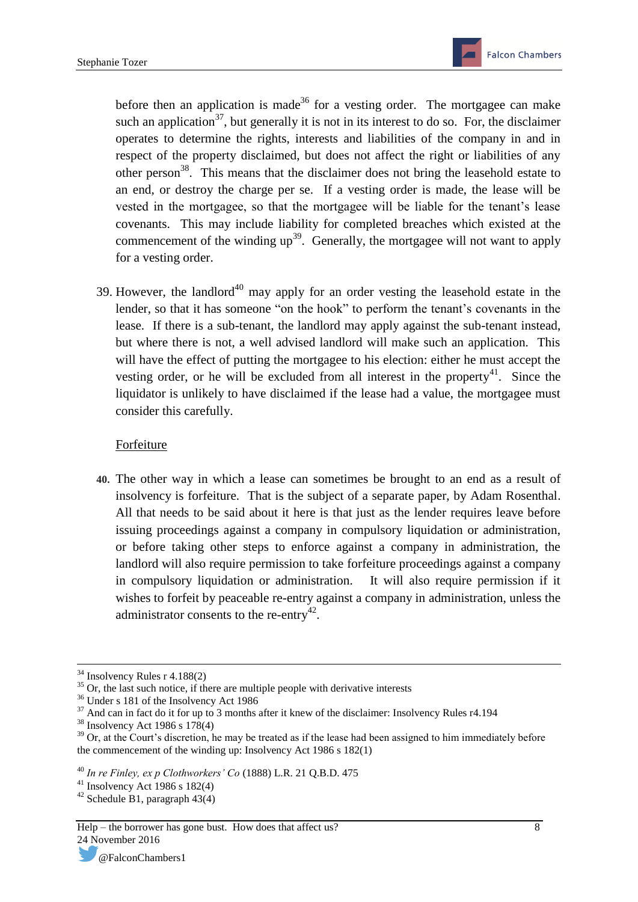before then an application is made<sup>36</sup> for a vesting order. The mortgagee can make such an application<sup>37</sup>, but generally it is not in its interest to do so. For, the disclaimer operates to determine the rights, interests and liabilities of the company in and in respect of the property disclaimed, but does not affect the right or liabilities of any other person<sup>38</sup>. This means that the disclaimer does not bring the leasehold estate to an end, or destroy the charge per se. If a vesting order is made, the lease will be vested in the mortgagee, so that the mortgagee will be liable for the tenant's lease covenants. This may include liability for completed breaches which existed at the commencement of the winding  $up^{39}$ . Generally, the mortgagee will not want to apply for a vesting order.

39. However, the landlord<sup>40</sup> may apply for an order vesting the leasehold estate in the lender, so that it has someone "on the hook" to perform the tenant's covenants in the lease. If there is a sub-tenant, the landlord may apply against the sub-tenant instead, but where there is not, a well advised landlord will make such an application. This will have the effect of putting the mortgagee to his election: either he must accept the vesting order, or he will be excluded from all interest in the property<sup>41</sup>. Since the liquidator is unlikely to have disclaimed if the lease had a value, the mortgagee must consider this carefully.

#### Forfeiture

**40.** The other way in which a lease can sometimes be brought to an end as a result of insolvency is forfeiture. That is the subject of a separate paper, by Adam Rosenthal. All that needs to be said about it here is that just as the lender requires leave before issuing proceedings against a company in compulsory liquidation or administration, or before taking other steps to enforce against a company in administration, the landlord will also require permission to take forfeiture proceedings against a company in compulsory liquidation or administration. It will also require permission if it wishes to forfeit by peaceable re-entry against a company in administration, unless the administrator consents to the re-entry<sup>42</sup>.

**<sup>.</sup>**  $34$  Insolvency Rules r 4.188(2)

 $35$  Or, the last such notice, if there are multiple people with derivative interests

<sup>36</sup> Under s 181 of the Insolvency Act 1986

 $37$  And can in fact do it for up to 3 months after it knew of the disclaimer: Insolvency Rules r4.194

 $38$  Insolvency Act 1986 s  $178(4)$ 

<sup>&</sup>lt;sup>39</sup> Or, at the Court's discretion, he may be treated as if the lease had been assigned to him immediately before the commencement of the winding up: Insolvency Act 1986 s 182(1)

<sup>40</sup> *In re Finley, ex p Clothworkers' Co* (1888) L.R. 21 Q.B.D. 475

 $41$  Insolvency Act 1986 s 182(4)

 $42$  Schedule B1, paragraph 43(4)